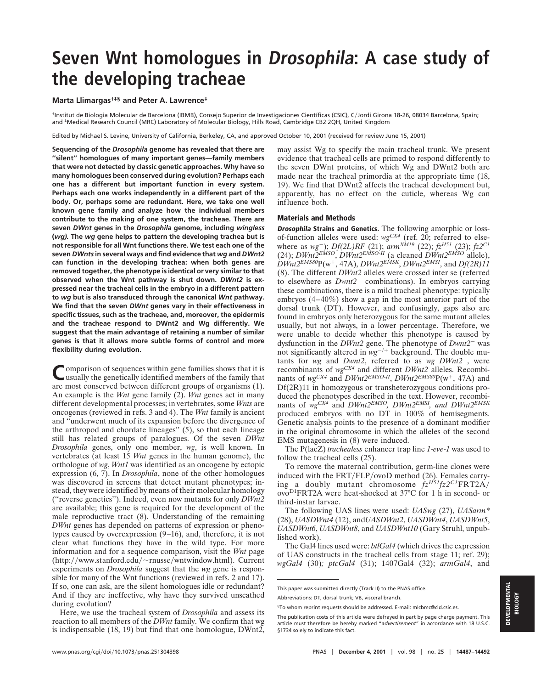# **Seven Wnt homologues in Drosophila: A case study of the developing tracheae**

## **Marta Llimargas†‡§ and Peter A. Lawrence‡**

†Institut de Biologia Molecular de Barcelona (IBMB), Consejo Superior de Investigaciones Cientı´ficas (CSIC), CJordi Girona 18-26, 08034 Barcelona, Spain; and ‡Medical Research Council (MRC) Laboratory of Molecular Biology, Hills Road, Cambridge CB2 2QH, United Kingdom

Edited by Michael S. Levine, University of California, Berkeley, CA, and approved October 10, 2001 (received for review June 15, 2001)

**Sequencing of the** *Drosophila* **genome has revealed that there are ''silent'' homologues of many important genes—family members that were not detected by classic genetic approaches. Why have so many homologues been conserved during evolution? Perhaps each one has a different but important function in every system. Perhaps each one works independently in a different part of the body. Or, perhaps some are redundant. Here, we take one well known gene family and analyze how the individual members contribute to the making of one system, the tracheae. There are seven** *DWnt* **genes in the** *Drosophila* **genome, including** *wingless* **(***wg).* **The** *wg* **gene helps to pattern the developing trachea but is not responsible for all Wnt functions there. We test each one of the seven** *DWnts* **in several ways and find evidence that** *wg* **and** *DWnt2* **can function in the developing trachea: when both genes are removed together, the phenotype is identical or very similar to that observed when the Wnt pathway is shut down.** *DWnt2* **is expressed near the tracheal cells in the embryo in a different pattern to** *wg* **but is also transduced through the canonical** *Wnt* **pathway. We find that the seven** *DWnt* **genes vary in their effectiveness in specific tissues, such as the tracheae, and, moreover, the epidermis and the tracheae respond to DWnt2 and Wg differently. We suggest that the main advantage of retaining a number of similar genes is that it allows more subtle forms of control and more flexibility during evolution.**

Comparison of sequences within gene families shows that it is usually the genetically identified members of the family that are most conserved between different groups of organisms (1). An example is the *Wnt* gene family (2). *Wnt* genes act in many different developmental processes; in vertebrates, some *Wnts* are oncogenes (reviewed in refs. 3 and 4). The *Wnt* family is ancient and ''underwent much of its expansion before the divergence of the arthropod and chordate lineages'' (5), so that each lineage still has related groups of paralogues. Of the seven *DWnt Drosophila* genes, only one member, *wg*, is well known. In vertebrates (at least 15 *Wnt* genes in the human genome), the orthologue of *wg*, *Wnt1* was identified as an oncogene by ectopic expression (6, 7). In *Drosophila*, none of the other homologues was discovered in screens that detect mutant phenotypes; instead, they were identified by means of their molecular homology (''reverse genetics''). Indeed, even now mutants for only *DWnt2* are available; this gene is required for the development of the male reproductive tract (8). Understanding of the remaining *DWnt* genes has depended on patterns of expression or phenotypes caused by overexpression (9–16), and, therefore, it is not clear what functions they have in the wild type. For more information and for a sequence comparison, visit the *Wnt* page  $(\text{http://www.stanford.edu/~rnusse/wntwindow.html}).$  Current experiments on *Drosophila* suggest that the *wg* gene is responsible for many of the Wnt functions (reviewed in refs. 2 and 17). If so, one can ask, are the silent homologues idle or redundant? And if they are ineffective, why have they survived unscathed during evolution?

Here, we use the tracheal system of *Drosophila* and assess its reaction to all members of the *DWnt* family. We confirm that wg is indispensable (18, 19) but find that one homologue, DWnt2, may assist Wg to specify the main tracheal trunk. We present evidence that tracheal cells are primed to respond differently to the seven DWnt proteins, of which Wg and DWnt2 both are made near the tracheal primordia at the appropriate time (18, 19). We find that DWnt2 affects the tracheal development but, apparently, has no effect on the cuticle, whereas Wg can influence both.

#### **Materials and Methods**

**Drosophila Strains and Genetics.** The following amorphic or lossof-function alleles were used: *wgCX4* (ref. 20; referred to elsewhere as *wg*-); *Df(2L)RF* (21); *armXM19* (22); *fzH51* (23); *fz2C1* (24); *DWnt2EMSO*, *DWnt2EMSO-II* (a cleaned *DWnt2EMSO* allele),  $DWnt2^{EMSS0}P(w^+, 47A)$ ,  $DWnt2^{EMSK}$ ,  $DWnt2^{EMSI}$ , and  $Df(2R)11$ (8). The different *DWnt2* alleles were crossed inter se (referred to elsewhere as *Dwnt2*- combinations). In embryos carrying these combinations, there is a mild tracheal phenotype: typically embryos (4–40%) show a gap in the most anterior part of the dorsal trunk (DT). However, and confusingly, gaps also are found in embryos only heterozygous for the same mutant alleles usually, but not always, in a lower percentage. Therefore, we were unable to decide whether this phenotype is caused by dysfunction in the *DWnt2* gene. The phenotype of *Dwnt2*- was not significantly altered in  $wg^{-/+}$  background. The double mutants for *wg* and *Dwnt2*, referred to as *wg*-*DWnt2*-, were recombinants of *wgCX4* and different *DWnt2* alleles. Recombinants of  $wg^{C X 4}$  and  $D W n t 2^{E M SO II}$ ,  $D W n t 2^{E M S 80} P (w<sup>+</sup>, 47A)$  and Df(2R)11 in homozygous or transheterozygous conditions produced the phenotypes described in the text. However, recombinants of *wgCX4* and *DWnt2EMSO, DWnt2EMSI, and DWnt2EMSK* produced embryos with no DT in 100% of hemisegments. Genetic analysis points to the presence of a dominant modifier in the original chromosome in which the alleles of the second EMS mutagenesis in (8) were induced.

The P(lacZ) *trachealess* enhancer trap line *1*-*eve*-*1* was used to follow the tracheal cells (25).

To remove the maternal contribution, germ-line clones were induced with the  $FRT/FLP/ovoD$  method (26). Females carrying a doubly mutant chromosome *fzH51fz2C1*FRT2A ovoD1FRT2A were heat-shocked at 37°C for 1 h in second- or third-instar larvae.

The following UAS lines were used: *UASwg* (27), *UASarm\** (28), *UASDWnt4* (12), and*UASDWnt2*, *UASDWnt4*, *UASDWnt5*, *UASDWnt6*, *UASDWnt8*, and *UASDWnt10* (Gary Struhl, unpublished work).

The Gal4 lines used were: *btlGal4* (which drives the expression of UAS constructs in the tracheal cells from stage 11; ref. 29); *wgGal4* (30)*; ptcGal4* (31); 1407Gal4 (32); *armGal4*, and

This paper was submitted directly (Track II) to the PNAS office.

Abbreviations: DT, dorsal trunk; VB, visceral branch.

<sup>§</sup>To whom reprint requests should be addressed. E-mail: mlcbmc@cid.csic.es.

The publication costs of this article were defrayed in part by page charge payment. This article must therefore be hereby marked "*advertisement*" in accordance with 18 U.S.C. §1734 solely to indicate this fact.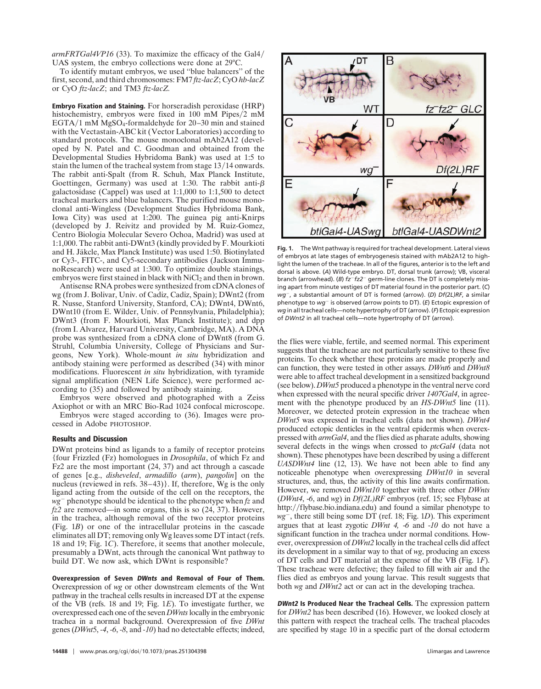*armFRTGal4VP16* (33). To maximize the efficacy of the Gal4 UAS system, the embryo collections were done at 29°C.

To identify mutant embryos, we used ''blue balancers'' of the first, second, and third chromosomes: FM7 *ftz*-*lacZ*; CyO *hb*-*lacZ* or CyO *ftz*-*lacZ*; and TM3 *ftz*-*lacZ.*

**Embryo Fixation and Staining.** For horseradish peroxidase (HRP) histochemistry, embryos were fixed in 100 mM Pipes/2 mM EGTA/1 mM MgSO<sub>4</sub>-formaldehyde for  $20-30$  min and stained with the Vectastain-ABC kit (Vector Laboratories) according to standard protocols. The mouse monoclonal mAb2A12 (developed by N. Patel and C. Goodman and obtained from the Developmental Studies Hybridoma Bank) was used at 1:5 to stain the lumen of the tracheal system from stage 13/14 onwards. The rabbit anti-Spalt (from R. Schuh, Max Planck Institute, Goettingen, Germany) was used at 1:30. The rabbit anti- $\beta$ galactosidase (Cappel) was used at 1:1,000 to 1:1,500 to detect tracheal markers and blue balancers. The purified mouse monoclonal anti-Wingless (Development Studies Hybridoma Bank, Iowa City) was used at 1:200. The guinea pig anti-Knirps (developed by J. Reivitz and provided by M. Ruiz-Gomez, Centro Biologia Molecular Severo Ochoa, Madrid) was used at 1:1,000. The rabbit anti-DWnt3 (kindly provided by F. Mourkioti and H. Jäkcle, Max Planck Institute) was used 1:50. Biotinylated or Cy3-, FITC-, and Cy5-secondary antibodies (Jackson ImmunoResearch) were used at 1:300. To optimize double stainings, embryos were first stained in black with NiCl<sub>2</sub> and then in brown.

Antisense RNA probes were synthesized from cDNA clones of wg (from J. Bolivar, Univ. of Cadiz, Cadiz, Spain); DWnt2 (from R. Nusse, Stanford University, Stanford, CA); DWnt4, DWnt6, DWnt10 (from E. Wilder, Univ. of Pennsylvania, Philadelphia); DWnt3 (from F. Mourkioti, Max Planck Institute); and dpp (from I. Alvarez, Harvard University, Cambridge, MA). A DNA probe was synthesized from a cDNA clone of DWnt8 (from G. Struhl, Columbia University, College of Physicians and Surgeons, New York). Whole-mount *in situ* hybridization and antibody staining were performed as described (34) with minor modifications. Fluorescent *in situ* hybridization, with tyramide signal amplification (NEN Life Science), were performed according to (35) and followed by antibody staining.

Embryos were observed and photographed with a Zeiss Axiophot or with an MRC Bio-Rad 1024 confocal microscope.

Embryos were staged according to (36). Images were processed in Adobe PHOTOSHOP.

### **Results and Discussion**

DWnt proteins bind as ligands to a family of receptor proteins {four Frizzled (Fz) homologues in *Drosophila*, of which Fz and Fz2 are the most important (24, 37) and act through a cascade of genes [e.g., *disheveled*, *armadillo* (*arm*), *pangolin*] on the nucleus (reviewed in refs. 38–43)}. If, therefore, Wg is the only ligand acting from the outside of the cell on the receptors, the *wg*- phenotype should be identical to the phenotype when *fz* and *fz2* are removed—in some organs, this is so (24, 37). However, in the trachea, although removal of the two receptor proteins (Fig. 1*B*) or one of the intracellular proteins in the cascade eliminates all DT; removing only Wg leaves some DT intact (refs. 18 and 19; Fig. 1*C*). Therefore, it seems that another molecule, presumably a DWnt, acts through the canonical Wnt pathway to build DT. We now ask, which DWnt is responsible?

**Overexpression of Seven DWnts and Removal of Four of Them.** Overexpression of *wg* or other downstream elements of the Wnt pathway in the tracheal cells results in increased DT at the expense of the VB (refs. 18 and 19; Fig. 1*E*). To investigate further, we overexpressed each one of the seven *DWnts*locally in the embryonic trachea in a normal background. Overexpression of five *DWnt* genes (*DWnt*5, *-4*, *-6*, *-8*, and *-10*) had no detectable effects; indeed,



**Fig. 1.** The Wnt pathway is required for tracheal development. Lateral views of embryos at late stages of embryogenesis stained with mAb2A12 to highlight the lumen of the tracheae. In all of the figures, anterior is to the left and dorsal is above. (*A*) Wild-type embryo. DT, dorsal trunk (arrow); VB, visceral branch (arrowhead). (B)  $fz^-fz2^-$  germ-line clones. The DT is completely missing apart from minute vestiges of DT material found in the posterior part. (*C*) *wg*-, a substantial amount of DT is formed (arrow). (*D*) *Df(2L)RF*, a similar phenotype to wg<sup>-</sup> is observed (arrow points to DT). (E) Ectopic expression of *wg* in all tracheal cells—note hypertrophy of DT (arrow). (*F*) Ectopic expression of *DWnt2* in all tracheal cells—note hypertrophy of DT (arrow).

the flies were viable, fertile, and seemed normal. This experiment suggests that the tracheae are not particularly sensitive to these five proteins. To check whether these proteins are made properly and can function, they were tested in other assays. *DWnt6* and *DWnt8* were able to affect tracheal development in a sensitized background (see below). *DWnt5* produced a phenotype in the ventral nerve cord when expressed with the neural specific driver *1407Gal4*, in agreement with the phenotype produced by an *HS-DWnt5* line (11). Moreover, we detected protein expression in the tracheae when *DWnt5* was expressed in tracheal cells (data not shown). *DWnt4* produced ectopic denticles in the ventral epidermis when overexpressed with *armGal4*, and the flies died as pharate adults, showing several defects in the wings when crossed to *ptcGal4* (data not shown). These phenotypes have been described by using a different *UASDWnt4* line (12, 13). We have not been able to find any noticeable phenotype when overexpressing *DWnt10* in several structures, and, thus, the activity of this line awaits confirmation. However, we removed *DWnt10* together with three other *DWnts* (*DWnt4*, -*6*, and *wg*) in *Df(2L)RF* embryos (ref. 15; see Flybase at http://flybase.bio.indiana.edu) and found a similar phenotype to *wg*-, there still being some DT (ref. 18; Fig. 1*D*). This experiment argues that at least zygotic *DWnt 4,* -*6* and -*10* do not have a significant function in the trachea under normal conditions. However, overexpression of *DWnt2* locally in the tracheal cells did affect its development in a similar way to that of *wg*, producing an excess of DT cells and DT material at the expense of the VB (Fig. 1*F*). These tracheae were defective; they failed to fill with air and the flies died as embryos and young larvae. This result suggests that both *wg* and *DWnt2* act or can act in the developing trachea.

**DWnt2 Is Produced Near the Tracheal Cells.** The expression pattern for *DWnt2* has been described (16). However, we looked closely at this pattern with respect the tracheal cells. The tracheal placodes are specified by stage 10 in a specific part of the dorsal ectoderm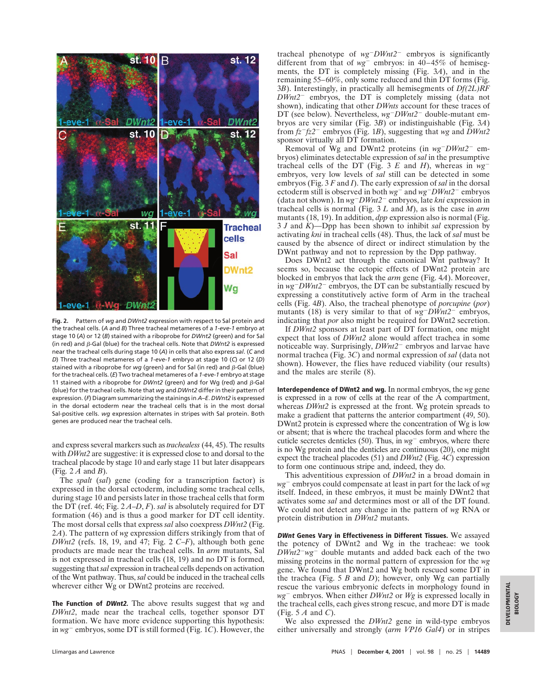

**Fig. 2.** Pattern of *wg* and *DWnt2* expression with respect to Sal protein and the tracheal cells. (*A* and *B*) Three tracheal metameres of a *1*-*eve*-*1* embryo at stage 10 (*A*) or 12 (*B*) stained with a riboprobe for *DWnt2* (green) and for Sal (in red) and  $\beta$ -Gal (blue) for the tracheal cells. Note that  $DWnt2$  is expressed near the tracheal cells during stage 10 (*A*) in cells that also express *sal*. (*C* and *D*) Three tracheal metameres of a *1*-*eve*-*1* embryo at stage 10 (*C*) or 12 (*D*) stained with a riboprobe for  $wg$  (green) and for Sal (in red) and  $\beta$ -Gal (blue) for the tracheal cells. (*E*) Two tracheal metameres of a *1*-*eve*-*1* embryo at stage 11 stained with a riboprobe for *DWnt2* (green) and for Wg (red) and  $\beta$ -Gal (blue) for the tracheal cells. Note that *wg* and *DWnt2* differ in their pattern of expression. (*F*) Diagram summarizing the stainings in *A*–*E*. *DWnt2* is expressed in the dorsal ectoderm near the tracheal cells that is in the most dorsal Sal-positive cells. *wg* expression alternates in stripes with Sal protein. Both genes are produced near the tracheal cells.

and express several markers such as *trachealess* (44, 45). The results with *DWnt2* are suggestive: it is expressed close to and dorsal to the tracheal placode by stage 10 and early stage 11 but later disappears (Fig. 2 *A* and *B*).

The *spalt* (*sal*) gene (coding for a transcription factor) is expressed in the dorsal ectoderm, including some tracheal cells, during stage 10 and persists later in those tracheal cells that form the DT (ref. 46; Fig. 2 *A*–*D*, *F*). *sal* is absolutely required for DT formation (46) and is thus a good marker for DT cell identity. The most dorsal cells that express *sal* also coexpress *DWnt2* (Fig. 2*A*). The pattern of *wg* expression differs strikingly from that of *DWnt2* (refs. 18, 19, and 47; Fig. 2 *C*–*F*), although both gene products are made near the tracheal cells. In *arm* mutants, Sal is not expressed in tracheal cells (18, 19) and no DT is formed, suggesting that*sal* expression in tracheal cells depends on activation of the Wnt pathway. Thus, *sal* could be induced in the tracheal cells wherever either Wg or DWnt2 proteins are received.

**The Function of DWnt2.** The above results suggest that *wg* and *DWnt2*, made near the tracheal cells, together sponsor DT formation. We have more evidence supporting this hypothesis: in *wg*- embryos, some DT is still formed (Fig. 1*C*). However, the

tracheal phenotype of *wg*-*DWnt2*- embryos is significantly different from that of  $wg^-$  embryos: in  $40-45\%$  of hemisegments, the DT is completely missing (Fig. 3*A*), and in the remaining 55–60%, only some reduced and thin DT forms (Fig. 3*B*). Interestingly, in practically all hemisegments of *Df(2L)RF DWnt2*- embryos, the DT is completely missing (data not shown), indicating that other *DWnts* account for these traces of DT (see below). Nevertheless,  $wg^- D Wnt2^-$  double-mutant embryos are very similar (Fig. 3*B*) or indistinguishable (Fig. 3*A*) from *fz*-*fz2*- embryos (Fig. 1*B*), suggesting that *wg* and *DWnt2* sponsor virtually all DT formation.

Removal of Wg and DWnt2 proteins (in  $wg^{-}DWnt2^{-}$  embryos) eliminates detectable expression of *sal* in the presumptive tracheal cells of the DT (Fig. 3  $E$  and  $H$ ), whereas in  $wg^{-}$ embryos, very low levels of *sal* still can be detected in some embryos (Fig. 3 *F* and *I*). The early expression of *sal* in the dorsal ectoderm still is observed in both  $wg^{-}$  and  $wg^{-}DWnt2^{-}$  embryos (data not shown). In *wg*-*DWnt2*- embryos, late *kni* expression in tracheal cells is normal (Fig. 3 *L* and *M*), as is the case in *arm* mutants (18, 19). In addition, *dpp* expression also is normal (Fig. 3 *J* and *K*)—Dpp has been shown to inhibit *sal* expression by activating *kni* in tracheal cells (48). Thus, the lack of *sal* must be caused by the absence of direct or indirect stimulation by the DWnt pathway and not to repression by the Dpp pathway.

Does DWnt2 act through the canonical Wnt pathway? It seems so, because the ectopic effects of DWnt2 protein are blocked in embryos that lack the *arm* gene (Fig. 4*A*). Moreover, in *wg*-*DWnt2*- embryos, the DT can be substantially rescued by expressing a constitutively active form of Arm in the tracheal cells (Fig. 4*B*). Also, the tracheal phenotype of *porcupine* (*por*) mutants (18) is very similar to that of  $wg^- DWnt2^-$  embryos, indicating that *por* also might be required for DWnt2 secretion.

If *DWnt2* sponsors at least part of DT formation, one might expect that loss of *DWnt2* alone would affect trachea in some noticeable way. Surprisingly, *DWnt2*- embryos and larvae have normal trachea (Fig. 3*C*) and normal expression of *sal* (data not shown). However, the flies have reduced viability (our results) and the males are sterile (8).

**Interdependence of DWnt2 and wg.** In normal embryos, the *wg* gene is expressed in a row of cells at the rear of the A compartment, whereas *DWnt2* is expressed at the front. Wg protein spreads to make a gradient that patterns the anterior compartment (49, 50). DWnt2 protein is expressed where the concentration of Wg is low or absent; that is where the tracheal placodes form and where the cuticle secretes denticles (50). Thus, in  $wg^-$  embryos, where there is no Wg protein and the denticles are continuous (20), one might expect the tracheal placodes (51) and *DWnt2* (Fig. 4*C*) expression to form one continuous stripe and, indeed, they do.

This adventitious expression of *DWnt2* in a broad domain in *wg*- embryos could compensate at least in part for the lack of *wg* itself. Indeed, in these embryos, it must be mainly DWnt2 that activates some *sal* and determines most or all of the DT found. We could not detect any change in the pattern of *wg* RNA or protein distribution in *DWnt2* mutants.

**DWnt Genes Vary in Effectiveness in Different Tissues.** We assayed the potency of DWnt2 and Wg in the tracheae: we took  $DWnt2^{-}wg^{-}$  double mutants and added back each of the two missing proteins in the normal pattern of expression for the *wg* gene. We found that DWnt2 and Wg both rescued some DT in the trachea (Fig. 5 *B* and *D*); however, only Wg can partially rescue the various embryonic defects in morphology found in *wg*- embryos. When either *DWnt2* or *Wg* is expressed locally in the tracheal cells, each gives strong rescue, and more DT is made (Fig. 5 *A* and *C*).

We also expressed the *DWnt2* gene in wild-type embryos either universally and strongly (*arm VP16 Gal4*) or in stripes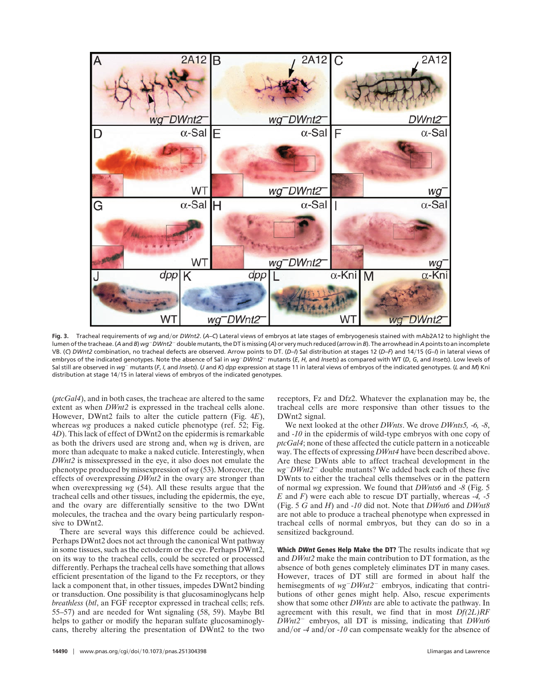

Fig. 3. Tracheal requirements of wg and/or DWnt2. (A-C) Lateral views of embryos at late stages of embryogenesis stained with mAb2A12 to highlight the lumen of the tracheae. (A and B) *wg*-DWnt2<sup>-</sup> double mutants, the DT is missing (A) or very much reduced (arrow in B). The arrowhead in A points to an incomplete VB. (*C*) *DWnt2* combination, no tracheal defects are observed. Arrow points to DT. (*D*–*I*) Sal distribution at stages 12 (*D*–*F*) and 1415 (*G*–*I*) in lateral views of embryos of the indicated genotypes. Note the absence of Sal in  $wg^-DWnt2^-$  mutants (E, H, and *Insets*) as compared with WT (D, G, and *Insets*). Low levels of Sal still are observed in wg<sup>-</sup> mutants (F, I, and Insets). (J and K) dpp expression at stage 11 in lateral views of embryos of the indicated genotypes. (L and M) Kni distribution at stage 14/15 in lateral views of embryos of the indicated genotypes.

(*ptcGal4*), and in both cases, the tracheae are altered to the same extent as when *DWnt2* is expressed in the tracheal cells alone. However, DWnt2 fails to alter the cuticle pattern (Fig. 4*E*), whereas *wg* produces a naked cuticle phenotype (ref. 52; Fig. 4*D*). This lack of effect of DWnt2 on the epidermis is remarkable as both the drivers used are strong and, when *wg* is driven, are more than adequate to make a naked cuticle. Interestingly, when *DWnt2* is missexpressed in the eye, it also does not emulate the phenotype produced by missexpression of *wg* (53). Moreover, the effects of overexpressing *DWnt2* in the ovary are stronger than when overexpressing *wg* (54). All these results argue that the tracheal cells and other tissues, including the epidermis, the eye, and the ovary are differentially sensitive to the two DWnt molecules, the trachea and the ovary being particularly responsive to DWnt2.

There are several ways this difference could be achieved. Perhaps DWnt2 does not act through the canonical Wnt pathway in some tissues, such as the ectoderm or the eye. Perhaps DWnt2, on its way to the tracheal cells, could be secreted or processed differently. Perhaps the tracheal cells have something that allows efficient presentation of the ligand to the Fz receptors, or they lack a component that, in other tissues, impedes DWnt2 binding or transduction. One possibility is that glucosaminoglycans help *breathless* (*btl*, an FGF receptor expressed in tracheal cells; refs. 55–57) and are needed for Wnt signaling (58, 59). Maybe Btl helps to gather or modify the heparan sulfate glucosaminoglycans, thereby altering the presentation of DWnt2 to the two receptors, Fz and Dfz2. Whatever the explanation may be, the tracheal cells are more responsive than other tissues to the DWnt2 signal.

We next looked at the other *DWnts*. We drove *DWnts5,* -*6,* -*8*, and -*10* in the epidermis of wild-type embryos with one copy of *ptcGal4*; none of these affected the cuticle pattern in a noticeable way. The effects of expressing *DWnt4* have been described above. Are these DWnts able to affect tracheal development in the *wg*-*DWnt2*- double mutants? We added back each of these five DWnts to either the tracheal cells themselves or in the pattern of normal *wg* expression. We found that *DWnts6* and -*8* (Fig. 5 *E* and *F*) were each able to rescue DT partially, whereas -*4,* -*5* (Fig. 5 *G* and *H*) and -*10* did not. Note that *DWnt6* and *DWnt8* are not able to produce a tracheal phenotype when expressed in tracheal cells of normal embryos, but they can do so in a sensitized background.

**Which DWnt Genes Help Make the DT?** The results indicate that *wg* and *DWnt2* make the main contribution to DT formation, as the absence of both genes completely eliminates DT in many cases. However, traces of DT still are formed in about half the hemisegments of  $wg^- D Wnt2^-$  embryos, indicating that contributions of other genes might help. Also, rescue experiments show that some other *DWnts* are able to activate the pathway. In agreement with this result, we find that in most *Df(2L)RF DWnt2*- embryos, all DT is missing, indicating that *DWnt6* and/or  $-4$  and/or  $-10$  can compensate weakly for the absence of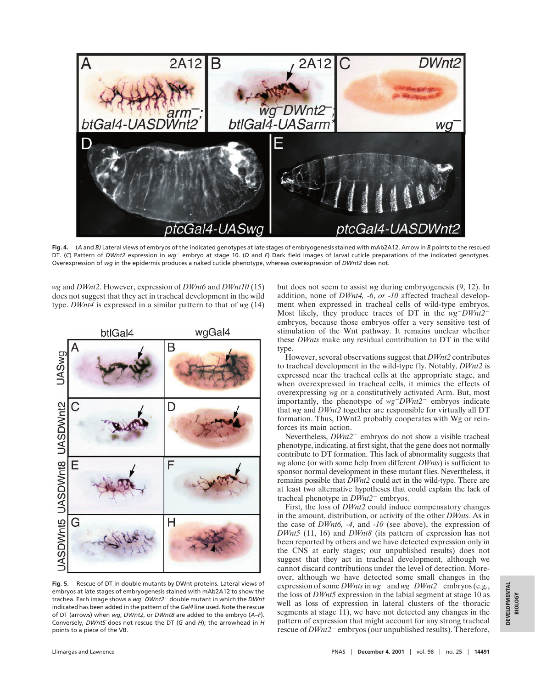

**Fig. 4.** (*A* and *B)* Lateral views of embryos of the indicated genotypes at late stages of embryogenesis stained with mAb2A12. Arrow in *B* points to the rescued DT. (C) Pattern of DWnt2 expression in wg<sup>-</sup> embryo at stage 10. (D and F) Dark field images of larval cuticle preparations of the indicated genotypes. Overexpression of *wg* in the epidermis produces a naked cuticle phenotype, whereas overexpression of *DWnt2* does not.

*wg* and *DWnt2*. However, expression of *DWnt6* and *DWnt10* (15) does not suggest that they act in tracheal development in the wild type. *DWnt4* is expressed in a similar pattern to that of *wg* (14)



**Fig. 5.** Rescue of DT in double mutants by DWnt proteins. Lateral views of embryos at late stages of embryogenesis stained with mAb2A12 to show the trachea. Each image shows a *wg*-*DWnt2*- double mutant in which the *DWnt* indicated has been added in the pattern of the *Gal4* line used. Note the rescue of DT (arrows) when *wg*, *DWnt2*, or *DWnt8* are added to the embryo (*A*–*F*). Conversely, *DWnt5* does not rescue the DT (*G* and *H*); the arrowhead in *H* points to a piece of the VB.

but does not seem to assist *wg* during embryogenesis (9, 12). In addition, none of *DWnt4,* -*6*, *or* -*10* affected tracheal development when expressed in tracheal cells of wild-type embryos. Most likely, they produce traces of DT in the *wg*-*DWnt2* embryos, because those embryos offer a very sensitive test of stimulation of the Wnt pathway. It remains unclear whether these *DWnts* make any residual contribution to DT in the wild type.

However, several observations suggest that *DWnt2* contributes to tracheal development in the wild-type fly. Notably, *DWnt2* is expressed near the tracheal cells at the appropriate stage, and when overexpressed in tracheal cells, it mimics the effects of overexpressing *wg* or a constitutively activated Arm. But, most importantly, the phenotype of  $wg^{-}DWnt2^{-}$  embryos indicate that *wg* and *DWnt2* together are responsible for virtually all DT formation. Thus, DWnt2 probably cooperates with Wg or reinforces its main action.

Nevertheless,  $DWnt2^-$  embryos do not show a visible tracheal phenotype, indicating, at first sight, that the gene does not normally contribute to DT formation. This lack of abnormality suggests that *wg* alone (or with some help from different *DWnts*) is sufficient to sponsor normal development in these mutant flies. Nevertheless, it remains possible that *DWnt2* could act in the wild-type. There are at least two alternative hypotheses that could explain the lack of tracheal phenotype in *DWnt2*- embryos.

First, the loss of *DWnt2* could induce compensatory changes in the amount, distribution, or activity of the other *DWnts.* As in the case of *DWnt6,* -*4*, and -*10* (see above), the expression of *DWnt5* (11, 16) and *DWnt8* (its pattern of expression has not been reported by others and we have detected expression only in the CNS at early stages; our unpublished results) does not suggest that they act in tracheal development, although we cannot discard contributions under the level of detection. Moreover, although we have detected some small changes in the expression of some *DWnts* in  $wg^{-}$  and  $wg^{-}DWnt2^{-}$  embryos (e.g., the loss of *DWnt5* expression in the labial segment at stage 10 as well as loss of expression in lateral clusters of the thoracic segments at stage 11), we have not detected any changes in the pattern of expression that might account for any strong tracheal rescue of  $DWnt2^-$  embryos (our unpublished results). Therefore,